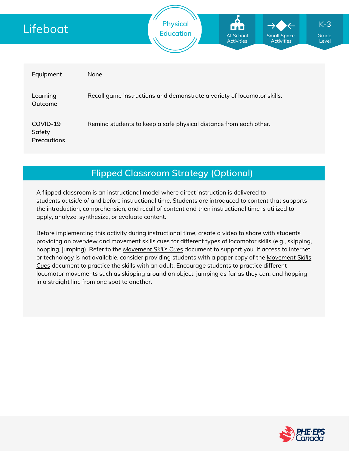

## **Flipped Classroom Strategy (Optional)**

A flipped classroom is an instructional model where direct instruction is delivered to students *outside of* and *before* instructional time. Students are introduced to content that supports the introduction, comprehension, and recall of content and then instructional time is utilized to apply, analyze, synthesize, or evaluate content.

Before implementing this activity during instructional time, create a video to share with students providing an overview and movement skills cues for different types of locomotor skills (e.g., skipping, hopping, jumping). Refer to the *[Movement](https://phecanada.ca/sites/default/files/content/docs/Home%20Learning%20Resource/Movement%20Cues/Movement%20Skills%20Cues%201.pdf) Skills Cues* document to support you. If access to internet or [technology](https://phecanada.ca/sites/default/files/content/docs/Home%20Learning%20Resource/Movement%20Cues/Movement%20Skills%20Cues%201.pdf) is not available, consider providing students with a paper copy of the *Movement Skills Cues* document to practice the skills with an adult. Encourage students to practice different locomotor movements such as skipping around an object, jumping as far as they can, and hopping in a straight line from one spot to another.

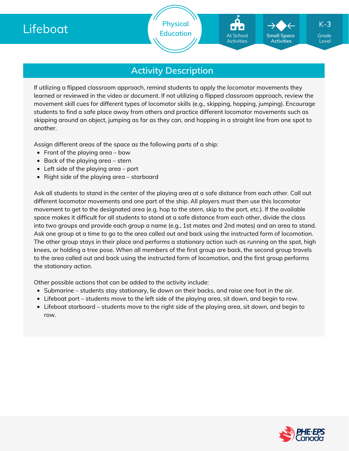

Level

K-**3**

**Activity Description**

If utilizing a flipped classroom approach, remind students to apply the locomotor movements they learned or reviewed in the video or document. If not utilizing a flipped classroom approach, review the movement skill cues for different types of locomotor skills (e.g., skipping, hopping, jumping). Encourage students to find a safe place away from others and practice different locomotor movements such as skipping around an object, jumping as far as they can, and hopping in a straight line from one spot to another.

Assign different areas of the space as the following parts of a ship:

- Front of the playing area  $-$  bow
- $\bullet$  Back of the playing area stern
- $\bullet$  Left side of the playing area port
- Right side of the playing area  $-$  starboard

Ask all students to stand in the center of the playing area at a safe distance from each other. Call out different locomotor movements and one part of the ship. All players must then use this locomotor movement to get to the designated area (e.g. hop to the stern, skip to the port, etc.). If the available space makes it difficult for all students to stand at a safe distance from each other, divide the class into two groups and provide each group a name (e.g., 1st mates and 2nd mates) and an area to stand. Ask one group at a time to go to the area called out and back using the instructed form of locomotion. The other group stays in their place and performs a stationary action such as running on the spot, high knees, or holding a tree pose. When all members of the first group are back, the second group travels to the area called out and back using the instructed form of locomotion, and the first group performs the stationary action.

Other possible actions that can be added to the activity include:

- Submarine students stay stationary, lie down on their backs, and raise one foot in the air.
- Lifeboat port students move to the left side of the playing area, sit down, and begin to row.
- Lifeboat starboard students move to the right side of the playing area, sit down, and begin to row.

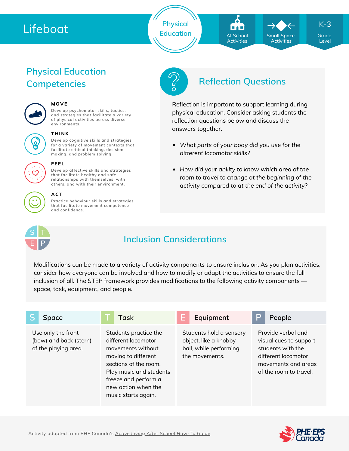# Lifeboat

**Physical Education Grade** At School **Grade** Small Space Grade

At School **Activities** 

*What parts of your body did you use for the*

reflection questions below and discuss the

Reflection is important to support learning during physical education. Consider asking students the

*How did your ability to know which area of the room to travel to change at the beginning of the activity compared to at the end of the activity?*

*different locomotor skills?*

answers together.

**Small Space Activities**

K-**3**

Level

# **Physical Education Competencies Reflection Questions**



## **MOVE**

**Develop psychomotor skills, tactics, and strategies that facilitate a variety of physical activities across diverse environments.**



### **THINK**

**Develop cognitive skills and strategies for a variety of movement contexts that facilitate critical thinking, decision making, and problem solving.**

**Develop affective skills and strategies that facilitate healthy and safe**



#### **relationships with themselves, with others, and with their environment.**

**FEEL**

**ACT**

**Practice behaviour skills and strategies that facilitate movement competence and confidence.**



## **Inclusion Considerations**

Modifications can be made to a variety of activity components to ensure inclusion. As you plan activities, consider how everyone can be involved and how to modify or adapt the activities to ensure the full inclusion of all. The STEP framework provides modifications to the following activity components space, task, equipment, and people.

| Space                                                                | <b>Task</b>                                                                                                                                                                                                        | Equipment                                                                                    | P | People                                                                                                                                    |
|----------------------------------------------------------------------|--------------------------------------------------------------------------------------------------------------------------------------------------------------------------------------------------------------------|----------------------------------------------------------------------------------------------|---|-------------------------------------------------------------------------------------------------------------------------------------------|
| Use only the front<br>(bow) and back (stern)<br>of the playing area. | Students practice the<br>different locomotor<br>movements without<br>moving to different<br>sections of the room.<br>Play music and students<br>freeze and perform a<br>new action when the<br>music starts again. | Students hold a sensory<br>object, like a knobby<br>ball, while performing<br>the movements. |   | Provide verbal and<br>visual cues to support<br>students with the<br>different locomotor<br>movements and areas<br>of the room to travel. |